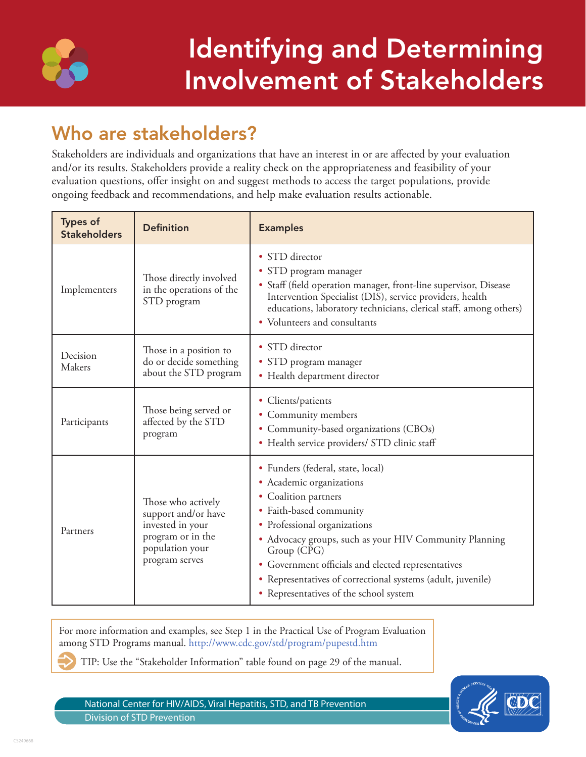

# Identifying and Determining Involvement of Stakeholders

# Who are stakeholders?

Stakeholders are individuals and organizations that have an interest in or are affected by your evaluation and/or its results. Stakeholders provide a reality check on the appropriateness and feasibility of your evaluation questions, offer insight on and suggest methods to access the target populations, provide ongoing feedback and recommendations, and help make evaluation results actionable.

| <b>Types of</b><br><b>Stakeholders</b> | <b>Definition</b>                                                                                                       | <b>Examples</b>                                                                                                                                                                                                                                                                                                                                                                          |
|----------------------------------------|-------------------------------------------------------------------------------------------------------------------------|------------------------------------------------------------------------------------------------------------------------------------------------------------------------------------------------------------------------------------------------------------------------------------------------------------------------------------------------------------------------------------------|
| Implementers                           | Those directly involved<br>in the operations of the<br>STD program                                                      | • STD director<br>• STD program manager<br>• Staff (field operation manager, front-line supervisor, Disease<br>Intervention Specialist (DIS), service providers, health<br>educations, laboratory technicians, clerical staff, among others)<br>• Volunteers and consultants                                                                                                             |
| Decision<br>Makers                     | Those in a position to<br>do or decide something<br>about the STD program                                               | • STD director<br>• STD program manager<br>• Health department director                                                                                                                                                                                                                                                                                                                  |
| Participants                           | Those being served or<br>affected by the STD<br>program                                                                 | • Clients/patients<br>• Community members<br>• Community-based organizations (CBOs)<br>• Health service providers/ STD clinic staff                                                                                                                                                                                                                                                      |
| Partners                               | Those who actively<br>support and/or have<br>invested in your<br>program or in the<br>population your<br>program serves | • Funders (federal, state, local)<br>• Academic organizations<br>• Coalition partners<br>• Faith-based community<br>• Professional organizations<br>• Advocacy groups, such as your HIV Community Planning<br>Group (CPG)<br>• Government officials and elected representatives<br>• Representatives of correctional systems (adult, juvenile)<br>• Representatives of the school system |

For more information and examples, see Step 1 in the Practical Use of Program Evaluation among STD Programs manual.<http://www.cdc.gov/std/program/pupestd.htm>

TIP: Use the "Stakeholder Information" table found on page 29 of the manual.